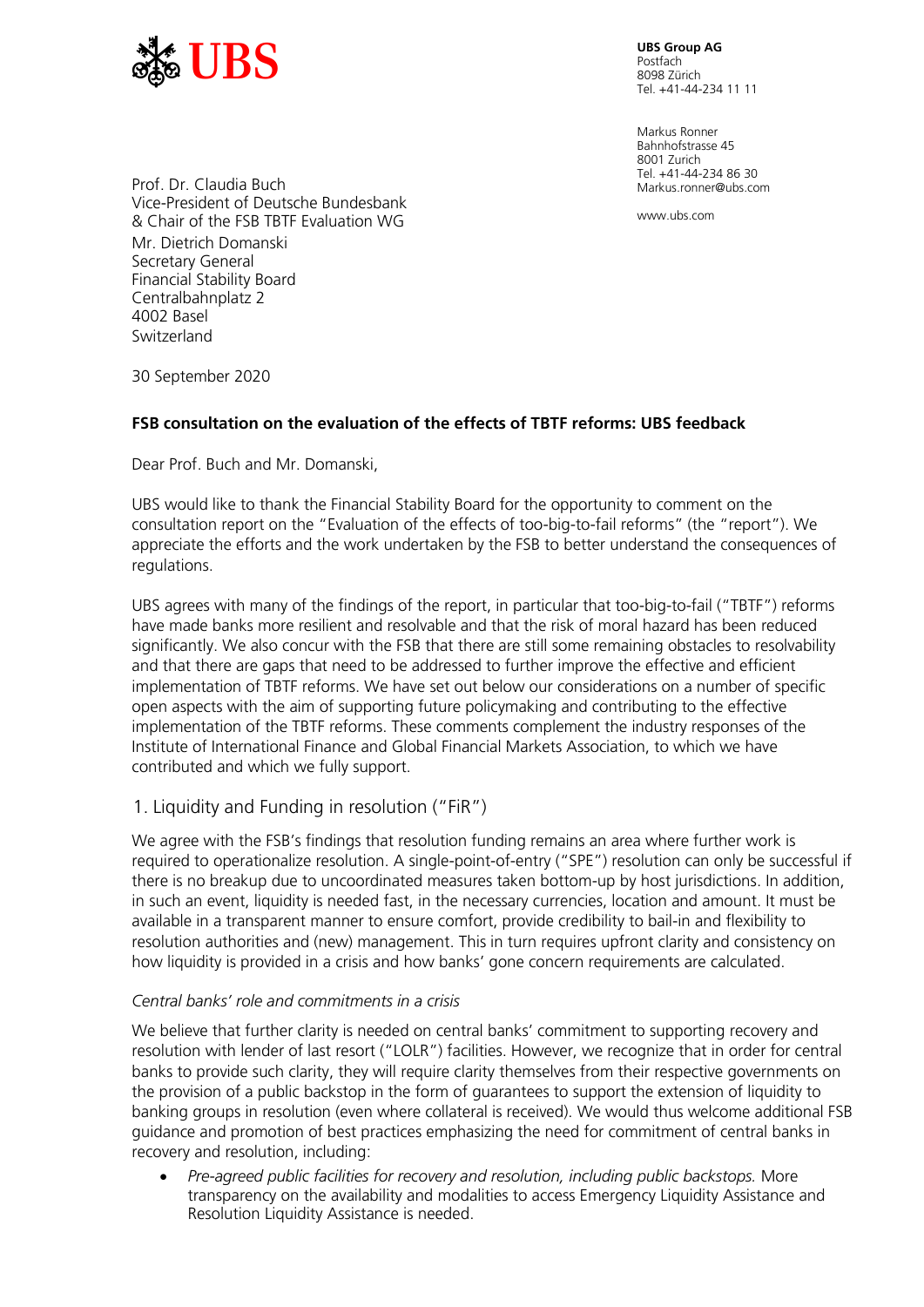

Postfach 8098 Zürich Tel. +41-44-234 11 11

Markus Ronner Bahnhofstrasse 45 8001 Zurich Tel. +41-44-234 86 30 Markus.ronner@ubs.com

www.ubs.com

Prof. **f** Dr. Claudia Buch Vice-President of Deutsche Bundesbank & Chair of the FSB TBTF Evaluation WG Mr. Dietrich Domanski Secretary General Financial Stability Board Centralbahnplatz 2 4002 Basel Switzerland

30 September 2020

## **FSB consultation on the evaluation of the effects of TBTF reforms: UBS feedback**

Dear Prof. Buch and Mr. Domanski,

UBS would like to thank the Financial Stability Board for the opportunity to comment on the consultation report on the "Evaluation of the effects of too-big-to-fail reforms" (the "report"). We appreciate the efforts and the work undertaken by the FSB to better understand the consequences of regulations.

UBS agrees with many of the findings of the report, in particular that too-big-to-fail ("TBTF") reforms have made banks more resilient and resolvable and that the risk of moral hazard has been reduced significantly. We also concur with the FSB that there are still some remaining obstacles to resolvability and that there are gaps that need to be addressed to further improve the effective and efficient implementation of TBTF reforms. We have set out below our considerations on a number of specific open aspects with the aim of supporting future policymaking and contributing to the effective implementation of the TBTF reforms. These comments complement the industry responses of the Institute of International Finance and Global Financial Markets Association, to which we have contributed and which we fully support.

# 1. Liquidity and Funding in resolution ("FiR")

We agree with the FSB's findings that resolution funding remains an area where further work is required to operationalize resolution. A single-point-of-entry ("SPE") resolution can only be successful if there is no breakup due to uncoordinated measures taken bottom-up by host jurisdictions. In addition, in such an event, liquidity is needed fast, in the necessary currencies, location and amount. It must be available in a transparent manner to ensure comfort, provide credibility to bail-in and flexibility to resolution authorities and (new) management. This in turn requires upfront clarity and consistency on how liquidity is provided in a crisis and how banks' gone concern requirements are calculated.

#### *Central banks' role and commitments in a crisis*

We believe that further clarity is needed on central banks' commitment to supporting recovery and resolution with lender of last resort ("LOLR") facilities. However, we recognize that in order for central banks to provide such clarity, they will require clarity themselves from their respective governments on the provision of a public backstop in the form of guarantees to support the extension of liquidity to banking groups in resolution (even where collateral is received). We would thus welcome additional FSB guidance and promotion of best practices emphasizing the need for commitment of central banks in recovery and resolution, including:

• *Pre-agreed public facilities for recovery and resolution, including public backstops.* More transparency on the availability and modalities to access Emergency Liquidity Assistance and Resolution Liquidity Assistance is needed.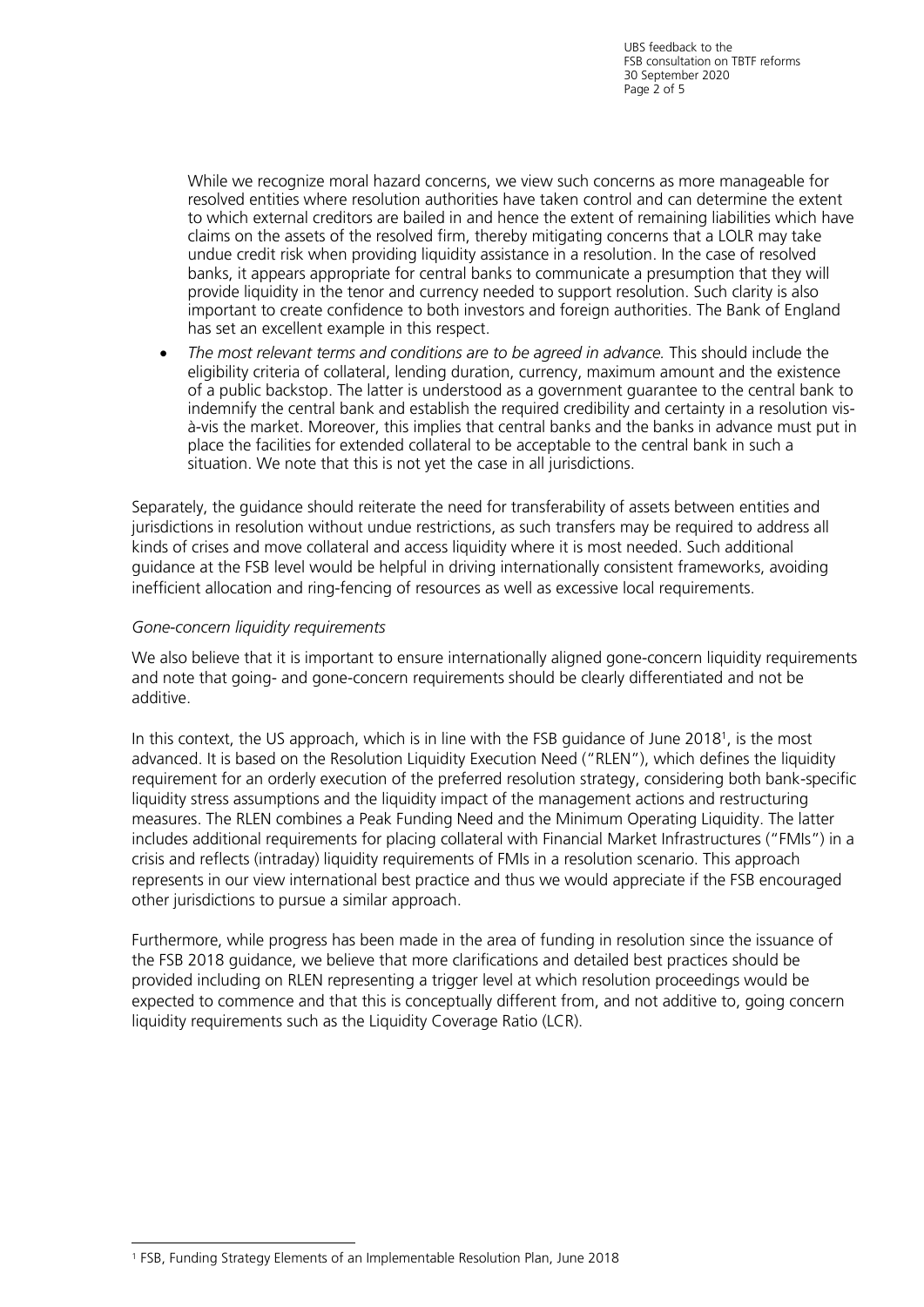While we recognize moral hazard concerns, we view such concerns as more manageable for resolved entities where resolution authorities have taken control and can determine the extent to which external creditors are bailed in and hence the extent of remaining liabilities which have claims on the assets of the resolved firm, thereby mitigating concerns that a LOLR may take undue credit risk when providing liquidity assistance in a resolution. In the case of resolved banks, it appears appropriate for central banks to communicate a presumption that they will provide liquidity in the tenor and currency needed to support resolution. Such clarity is also important to create confidence to both investors and foreign authorities. The Bank of England has set an excellent example in this respect.

• *The most relevant terms and conditions are to be agreed in advance.* This should include the eligibility criteria of collateral, lending duration, currency, maximum amount and the existence of a public backstop. The latter is understood as a government guarantee to the central bank to indemnify the central bank and establish the required credibility and certainty in a resolution visà-vis the market. Moreover, this implies that central banks and the banks in advance must put in place the facilities for extended collateral to be acceptable to the central bank in such a situation. We note that this is not yet the case in all jurisdictions.

Separately, the guidance should reiterate the need for transferability of assets between entities and jurisdictions in resolution without undue restrictions, as such transfers may be required to address all kinds of crises and move collateral and access liquidity where it is most needed. Such additional guidance at the FSB level would be helpful in driving internationally consistent frameworks, avoiding inefficient allocation and ring-fencing of resources as well as excessive local requirements.

#### *Gone-concern liquidity requirements*

We also believe that it is important to ensure internationally aligned gone-concern liquidity requirements and note that going- and gone-concern requirements should be clearly differentiated and not be additive.

In this context, the US approach, which is in line with the FSB guidance of June 2018<sup>1</sup>, is the most advanced. It is based on the Resolution Liquidity Execution Need ("RLEN"), which defines the liquidity requirement for an orderly execution of the preferred resolution strategy, considering both bank-specific liquidity stress assumptions and the liquidity impact of the management actions and restructuring measures. The RLEN combines a Peak Funding Need and the Minimum Operating Liquidity. The latter includes additional requirements for placing collateral with Financial Market Infrastructures ("FMIs") in a crisis and reflects (intraday) liquidity requirements of FMIs in a resolution scenario. This approach represents in our view international best practice and thus we would appreciate if the FSB encouraged other jurisdictions to pursue a similar approach.

Furthermore, while progress has been made in the area of funding in resolution since the issuance of the FSB 2018 guidance, we believe that more clarifications and detailed best practices should be provided including on RLEN representing a trigger level at which resolution proceedings would be expected to commence and that this is conceptually different from, and not additive to, going concern liquidity requirements such as the Liquidity Coverage Ratio (LCR).

<sup>1</sup> FSB, Funding Strategy Elements of an Implementable Resolution Plan, June 2018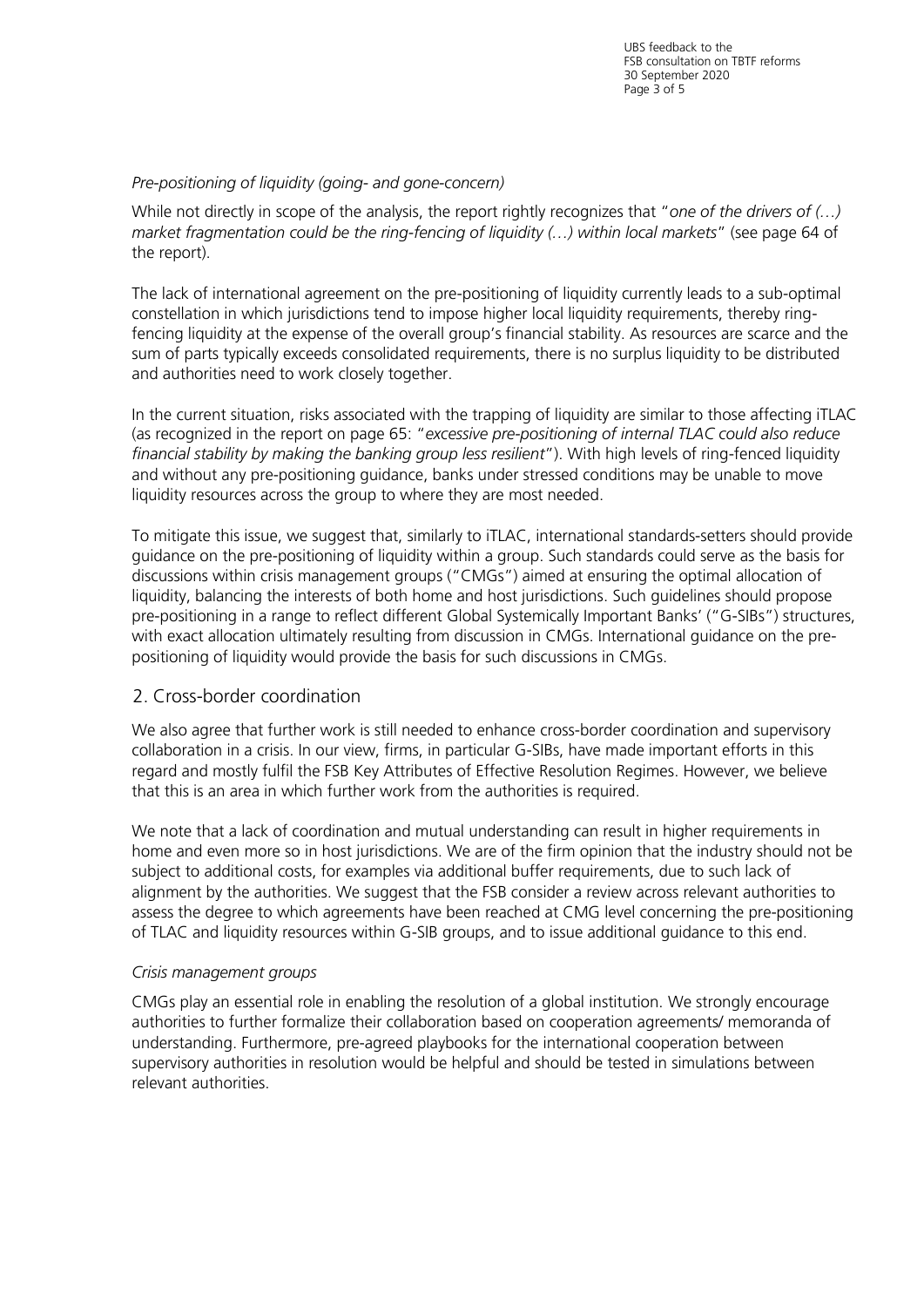## *Pre-positioning of liquidity (going- and gone-concern)*

While not directly in scope of the analysis, the report rightly recognizes that "*one of the drivers of (…) market fragmentation could be the ring-fencing of liquidity (…) within local markets*" (see page 64 of the report).

The lack of international agreement on the pre-positioning of liquidity currently leads to a sub-optimal constellation in which jurisdictions tend to impose higher local liquidity requirements, thereby ringfencing liquidity at the expense of the overall group's financial stability. As resources are scarce and the sum of parts typically exceeds consolidated requirements, there is no surplus liquidity to be distributed and authorities need to work closely together.

In the current situation, risks associated with the trapping of liquidity are similar to those affecting iTLAC (as recognized in the report on page 65: "*excessive pre-positioning of internal TLAC could also reduce financial stability by making the banking group less resilient*"). With high levels of ring-fenced liquidity and without any pre-positioning guidance, banks under stressed conditions may be unable to move liquidity resources across the group to where they are most needed.

To mitigate this issue, we suggest that, similarly to iTLAC, international standards-setters should provide guidance on the pre-positioning of liquidity within a group. Such standards could serve as the basis for discussions within crisis management groups ("CMGs") aimed at ensuring the optimal allocation of liquidity, balancing the interests of both home and host jurisdictions. Such guidelines should propose pre-positioning in a range to reflect different Global Systemically Important Banks' ("G-SIBs") structures, with exact allocation ultimately resulting from discussion in CMGs. International guidance on the prepositioning of liquidity would provide the basis for such discussions in CMGs.

# 2. Cross-border coordination

We also agree that further work is still needed to enhance cross-border coordination and supervisory collaboration in a crisis. In our view, firms, in particular G-SIBs, have made important efforts in this regard and mostly fulfil the FSB Key Attributes of Effective Resolution Regimes. However, we believe that this is an area in which further work from the authorities is required.

We note that a lack of coordination and mutual understanding can result in higher requirements in home and even more so in host jurisdictions. We are of the firm opinion that the industry should not be subject to additional costs, for examples via additional buffer requirements, due to such lack of alignment by the authorities. We suggest that the FSB consider a review across relevant authorities to assess the degree to which agreements have been reached at CMG level concerning the pre-positioning of TLAC and liquidity resources within G-SIB groups, and to issue additional guidance to this end.

## *Crisis management groups*

CMGs play an essential role in enabling the resolution of a global institution. We strongly encourage authorities to further formalize their collaboration based on cooperation agreements/ memoranda of understanding. Furthermore, pre-agreed playbooks for the international cooperation between supervisory authorities in resolution would be helpful and should be tested in simulations between relevant authorities.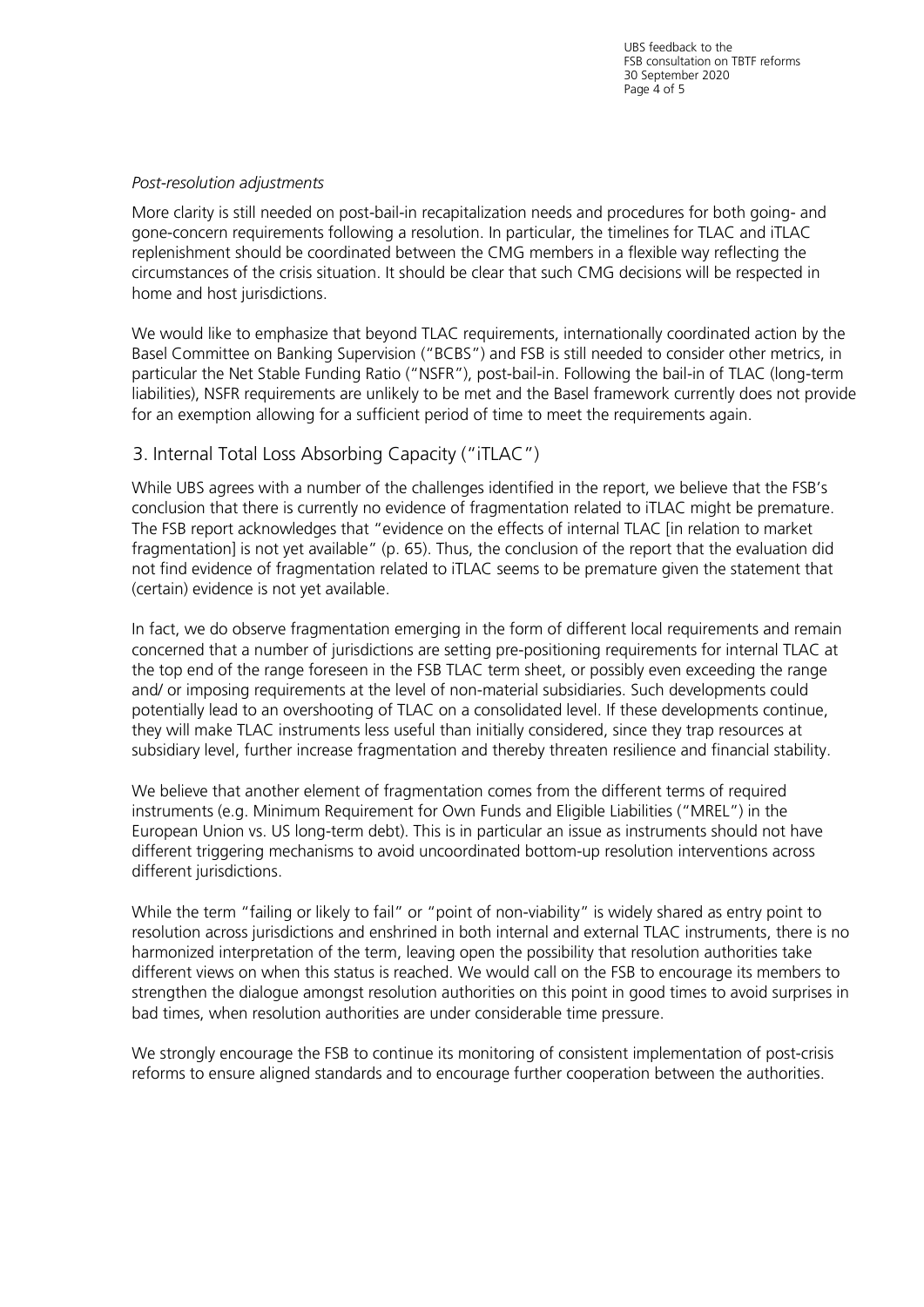UBS feedback to the FSB consultation on TBTF reforms 30 September 2020 Page 4 of 5

#### *Post-resolution adjustments*

More clarity is still needed on post-bail-in recapitalization needs and procedures for both going- and gone-concern requirements following a resolution. In particular, the timelines for TLAC and iTLAC replenishment should be coordinated between the CMG members in a flexible way reflecting the circumstances of the crisis situation. It should be clear that such CMG decisions will be respected in home and host jurisdictions.

We would like to emphasize that beyond TLAC requirements, internationally coordinated action by the Basel Committee on Banking Supervision ("BCBS") and FSB is still needed to consider other metrics, in particular the Net Stable Funding Ratio ("NSFR"), post-bail-in. Following the bail-in of TLAC (long-term liabilities), NSFR requirements are unlikely to be met and the Basel framework currently does not provide for an exemption allowing for a sufficient period of time to meet the requirements again.

# 3. Internal Total Loss Absorbing Capacity ("iTLAC")

While UBS agrees with a number of the challenges identified in the report, we believe that the FSB's conclusion that there is currently no evidence of fragmentation related to iTLAC might be premature. The FSB report acknowledges that "evidence on the effects of internal TLAC [in relation to market fragmentation] is not yet available" (p. 65). Thus, the conclusion of the report that the evaluation did not find evidence of fragmentation related to iTLAC seems to be premature given the statement that (certain) evidence is not yet available.

In fact, we do observe fragmentation emerging in the form of different local requirements and remain concerned that a number of jurisdictions are setting pre-positioning requirements for internal TLAC at the top end of the range foreseen in the FSB TLAC term sheet, or possibly even exceeding the range and/ or imposing requirements at the level of non-material subsidiaries. Such developments could potentially lead to an overshooting of TLAC on a consolidated level. If these developments continue, they will make TLAC instruments less useful than initially considered, since they trap resources at subsidiary level, further increase fragmentation and thereby threaten resilience and financial stability.

We believe that another element of fragmentation comes from the different terms of required instruments (e.g. Minimum Requirement for Own Funds and Eligible Liabilities ("MREL") in the European Union vs. US long-term debt). This is in particular an issue as instruments should not have different triggering mechanisms to avoid uncoordinated bottom-up resolution interventions across different jurisdictions.

While the term "failing or likely to fail" or "point of non-viability" is widely shared as entry point to resolution across jurisdictions and enshrined in both internal and external TLAC instruments, there is no harmonized interpretation of the term, leaving open the possibility that resolution authorities take different views on when this status is reached. We would call on the FSB to encourage its members to strengthen the dialogue amongst resolution authorities on this point in good times to avoid surprises in bad times, when resolution authorities are under considerable time pressure.

We strongly encourage the FSB to continue its monitoring of consistent implementation of post-crisis reforms to ensure aligned standards and to encourage further cooperation between the authorities.